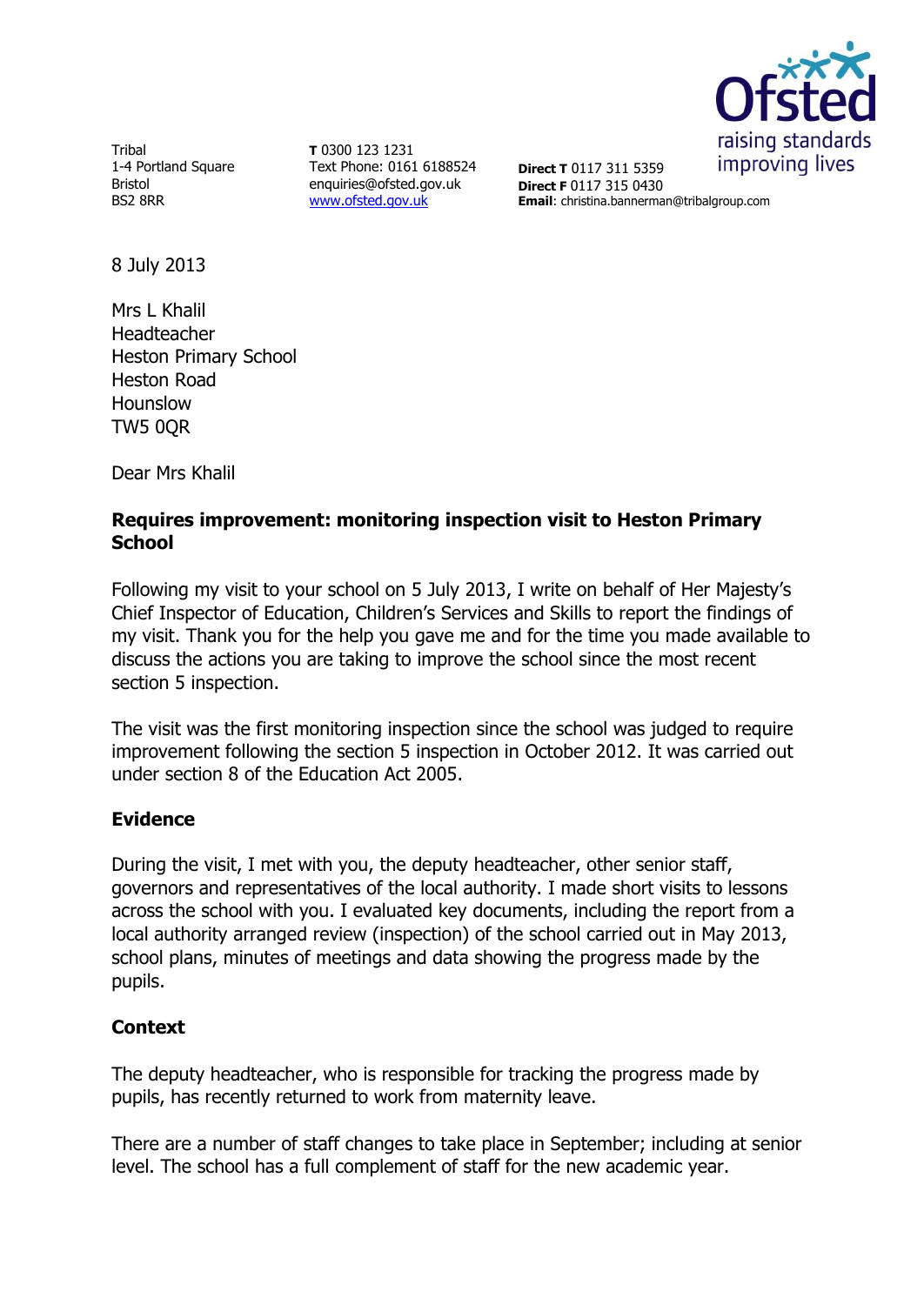

**Tribal** 1-4 Portland Square Bristol BS2 8RR

**T** 0300 123 1231 Text Phone: 0161 6188524 enquiries@ofsted.gov.uk [www.ofsted.gov.uk](http://www.ofsted.gov.uk/)

**Direct T** 0117 311 5359 **Direct F** 0117 315 0430 **Email**: christina.bannerman@tribalgroup.com

8 July 2013

Mrs L Khalil Headteacher Heston Primary School Heston Road Hounslow TW5 0QR

Dear Mrs Khalil

# **Requires improvement: monitoring inspection visit to Heston Primary School**

Following my visit to your school on 5 July 2013, I write on behalf of Her Majesty's Chief Inspector of Education, Children's Services and Skills to report the findings of my visit. Thank you for the help you gave me and for the time you made available to discuss the actions you are taking to improve the school since the most recent section 5 inspection.

The visit was the first monitoring inspection since the school was judged to require improvement following the section 5 inspection in October 2012. It was carried out under section 8 of the Education Act 2005.

### **Evidence**

During the visit, I met with you, the deputy headteacher, other senior staff, governors and representatives of the local authority. I made short visits to lessons across the school with you. I evaluated key documents, including the report from a local authority arranged review (inspection) of the school carried out in May 2013, school plans, minutes of meetings and data showing the progress made by the pupils.

### **Context**

The deputy headteacher, who is responsible for tracking the progress made by pupils, has recently returned to work from maternity leave.

There are a number of staff changes to take place in September; including at senior level. The school has a full complement of staff for the new academic year.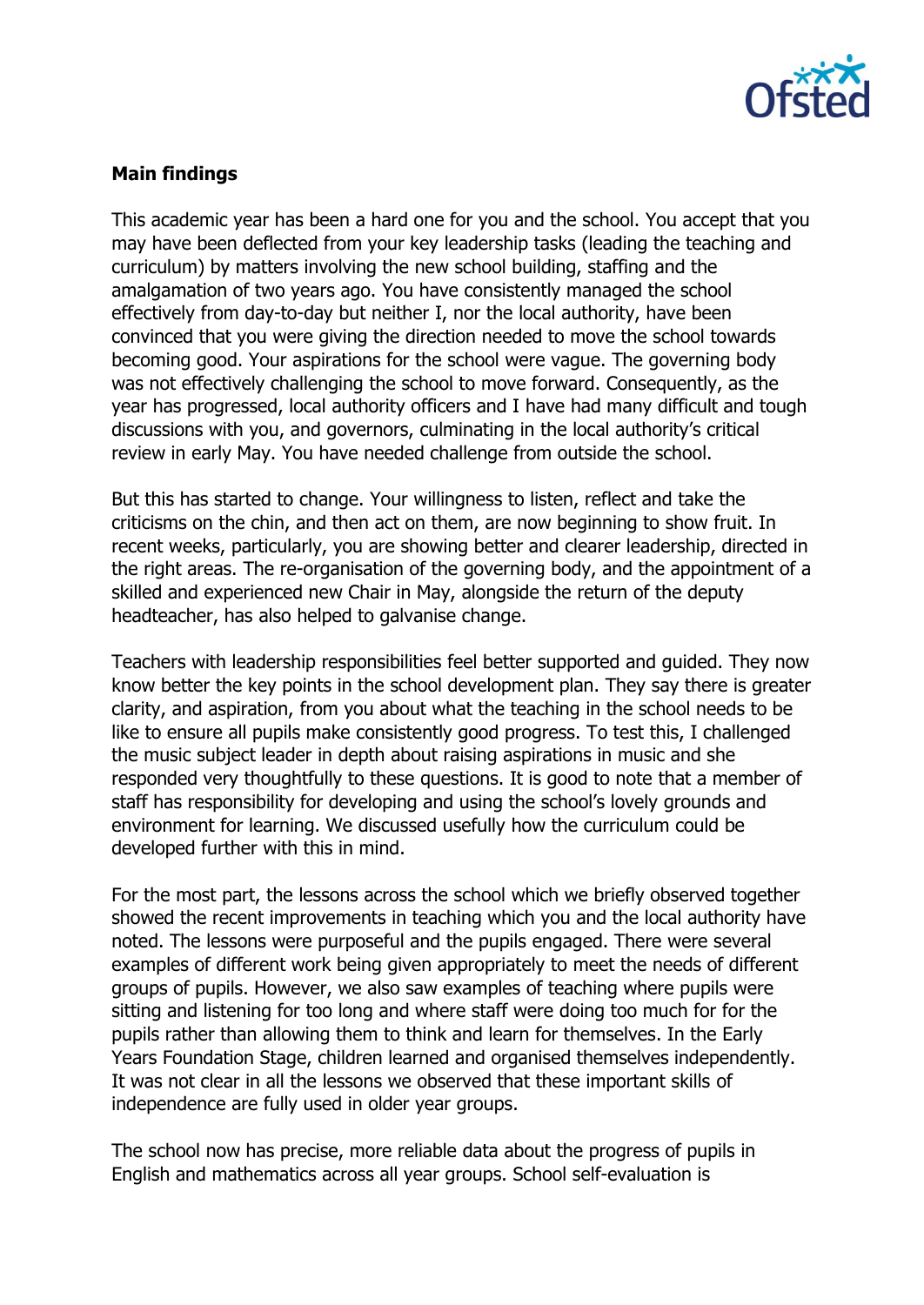

## **Main findings**

This academic year has been a hard one for you and the school. You accept that you may have been deflected from your key leadership tasks (leading the teaching and curriculum) by matters involving the new school building, staffing and the amalgamation of two years ago. You have consistently managed the school effectively from day-to-day but neither I, nor the local authority, have been convinced that you were giving the direction needed to move the school towards becoming good. Your aspirations for the school were vague. The governing body was not effectively challenging the school to move forward. Consequently, as the year has progressed, local authority officers and I have had many difficult and tough discussions with you, and governors, culminating in the local authority's critical review in early May. You have needed challenge from outside the school.

But this has started to change. Your willingness to listen, reflect and take the criticisms on the chin, and then act on them, are now beginning to show fruit. In recent weeks, particularly, you are showing better and clearer leadership, directed in the right areas. The re-organisation of the governing body, and the appointment of a skilled and experienced new Chair in May, alongside the return of the deputy headteacher, has also helped to galvanise change.

Teachers with leadership responsibilities feel better supported and guided. They now know better the key points in the school development plan. They say there is greater clarity, and aspiration, from you about what the teaching in the school needs to be like to ensure all pupils make consistently good progress. To test this, I challenged the music subject leader in depth about raising aspirations in music and she responded very thoughtfully to these questions. It is good to note that a member of staff has responsibility for developing and using the school's lovely grounds and environment for learning. We discussed usefully how the curriculum could be developed further with this in mind.

For the most part, the lessons across the school which we briefly observed together showed the recent improvements in teaching which you and the local authority have noted. The lessons were purposeful and the pupils engaged. There were several examples of different work being given appropriately to meet the needs of different groups of pupils. However, we also saw examples of teaching where pupils were sitting and listening for too long and where staff were doing too much for for the pupils rather than allowing them to think and learn for themselves. In the Early Years Foundation Stage, children learned and organised themselves independently. It was not clear in all the lessons we observed that these important skills of independence are fully used in older year groups.

The school now has precise, more reliable data about the progress of pupils in English and mathematics across all year groups. School self-evaluation is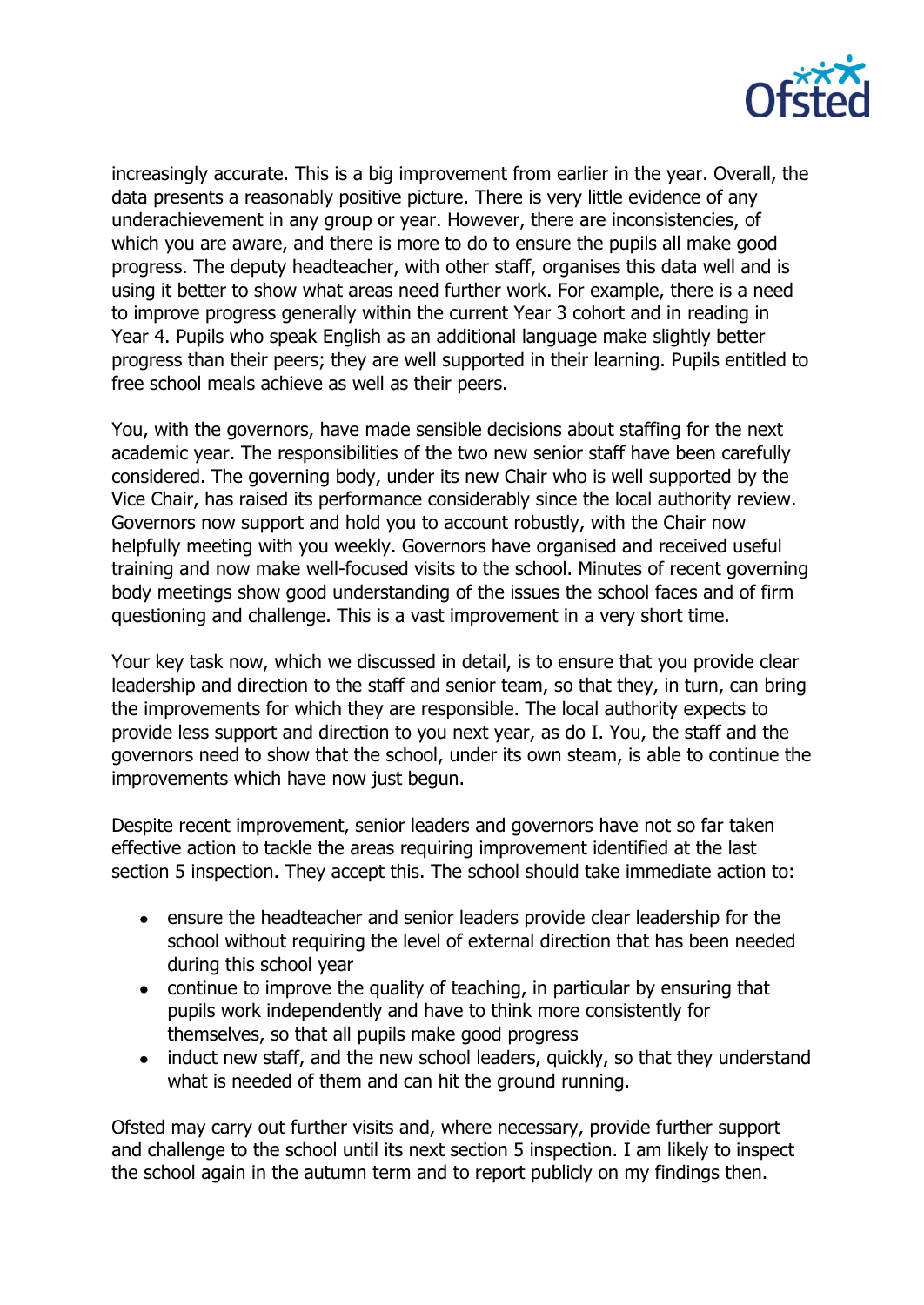

increasingly accurate. This is a big improvement from earlier in the year. Overall, the data presents a reasonably positive picture. There is very little evidence of any underachievement in any group or year. However, there are inconsistencies, of which you are aware, and there is more to do to ensure the pupils all make good progress. The deputy headteacher, with other staff, organises this data well and is using it better to show what areas need further work. For example, there is a need to improve progress generally within the current Year 3 cohort and in reading in Year 4. Pupils who speak English as an additional language make slightly better progress than their peers; they are well supported in their learning. Pupils entitled to free school meals achieve as well as their peers.

You, with the governors, have made sensible decisions about staffing for the next academic year. The responsibilities of the two new senior staff have been carefully considered. The governing body, under its new Chair who is well supported by the Vice Chair, has raised its performance considerably since the local authority review. Governors now support and hold you to account robustly, with the Chair now helpfully meeting with you weekly. Governors have organised and received useful training and now make well-focused visits to the school. Minutes of recent governing body meetings show good understanding of the issues the school faces and of firm questioning and challenge. This is a vast improvement in a very short time.

Your key task now, which we discussed in detail, is to ensure that you provide clear leadership and direction to the staff and senior team, so that they, in turn, can bring the improvements for which they are responsible. The local authority expects to provide less support and direction to you next year, as do I. You, the staff and the governors need to show that the school, under its own steam, is able to continue the improvements which have now just begun.

Despite recent improvement, senior leaders and governors have not so far taken effective action to tackle the areas requiring improvement identified at the last section 5 inspection. They accept this. The school should take immediate action to:

- ensure the headteacher and senior leaders provide clear leadership for the school without requiring the level of external direction that has been needed during this school year
- continue to improve the quality of teaching, in particular by ensuring that pupils work independently and have to think more consistently for themselves, so that all pupils make good progress
- induct new staff, and the new school leaders, quickly, so that they understand  $\bullet$ what is needed of them and can hit the ground running.

Ofsted may carry out further visits and, where necessary, provide further support and challenge to the school until its next section 5 inspection. I am likely to inspect the school again in the autumn term and to report publicly on my findings then.